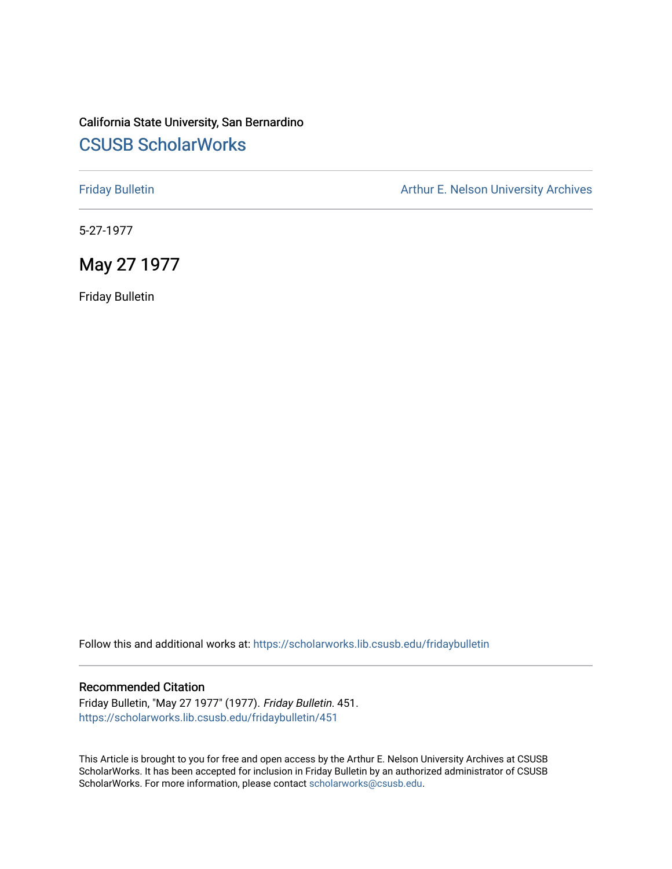## California State University, San Bernardino [CSUSB ScholarWorks](https://scholarworks.lib.csusb.edu/)

[Friday Bulletin](https://scholarworks.lib.csusb.edu/fridaybulletin) **Arthur E. Nelson University Archives** Arthur E. Nelson University Archives

5-27-1977

### May 27 1977

Friday Bulletin

Follow this and additional works at: [https://scholarworks.lib.csusb.edu/fridaybulletin](https://scholarworks.lib.csusb.edu/fridaybulletin?utm_source=scholarworks.lib.csusb.edu%2Ffridaybulletin%2F451&utm_medium=PDF&utm_campaign=PDFCoverPages)

#### Recommended Citation

Friday Bulletin, "May 27 1977" (1977). Friday Bulletin. 451. [https://scholarworks.lib.csusb.edu/fridaybulletin/451](https://scholarworks.lib.csusb.edu/fridaybulletin/451?utm_source=scholarworks.lib.csusb.edu%2Ffridaybulletin%2F451&utm_medium=PDF&utm_campaign=PDFCoverPages)

This Article is brought to you for free and open access by the Arthur E. Nelson University Archives at CSUSB ScholarWorks. It has been accepted for inclusion in Friday Bulletin by an authorized administrator of CSUSB ScholarWorks. For more information, please contact [scholarworks@csusb.edu.](mailto:scholarworks@csusb.edu)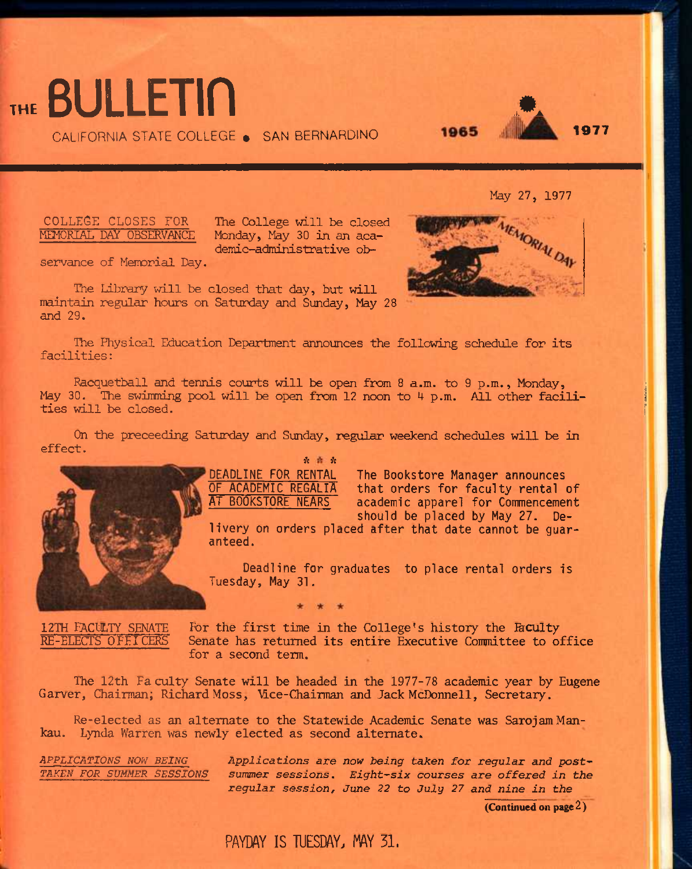# ... BULLETin ...

CALIFORNIA STATE COLLEGE . SAN BERNARDINO



**May 27, 1977** 

**AIEMORIAL DAY** 

#### **COLLEGE CLOSES FOR MEMORIAL DAY OBSERVANCE**

**The College will be closed Monday, May 30 in an academic-administrative ob-**



**The Library will be closed that day, but will naintain regular hours on Saturday and Sunday, May 28 and** 29.

**The Physical Education Department announces the following schedule for its facilities:** 

**Racquetball and tennis courts will be open from 8 a.m. to 9 p.m., Monday,**  May 30. The swimming pool will be open from 12 noon to 4 p.m. All other facili**ties will be closed.** 

**On the preceeding Saturday and Sunday, regular weekend schedules will be in effect.** 

**DEADLINE FOR RENTAL** 



*it it* 

**The Bookstore Manager announces that orders for faculty rental of academic apparel for Commencement should be placed by May 27. De-**

**livery on orders placed after that date cannot be guaranteed.** 

**Deadline for graduates to place rental orders is Tuesday, May 31.** 

**12TH FACULTY SENATE RE-ELECTS OFF ICERS** 

**For the first time in the College's history the Acuity Senate has returned its entire Executive Committee to office for a second term.** 

**The 12th Faculty Senate will be headed in the 1977-78 academic year by Eugene Carver, Chairman; Richard Moss, Mce-Chairman and Jack McDonnell, Secretary.** 

**Re-elected as an alternate to the Statewide Academic Senate was SarojamMankau. Lynda Warren was newly elected as second alternate.** 

*APPLICATIONS NOW BEING TAKEN FOR SUMMER SESSIONS*  *Applications are now being taken for regular and post' summer sessions. Eight^six courses are offered in the*  regular session, June 22 to July 27 and nine in the

(Continued on page 2)

## PAYDAY IS TUESDAY, MAY 31.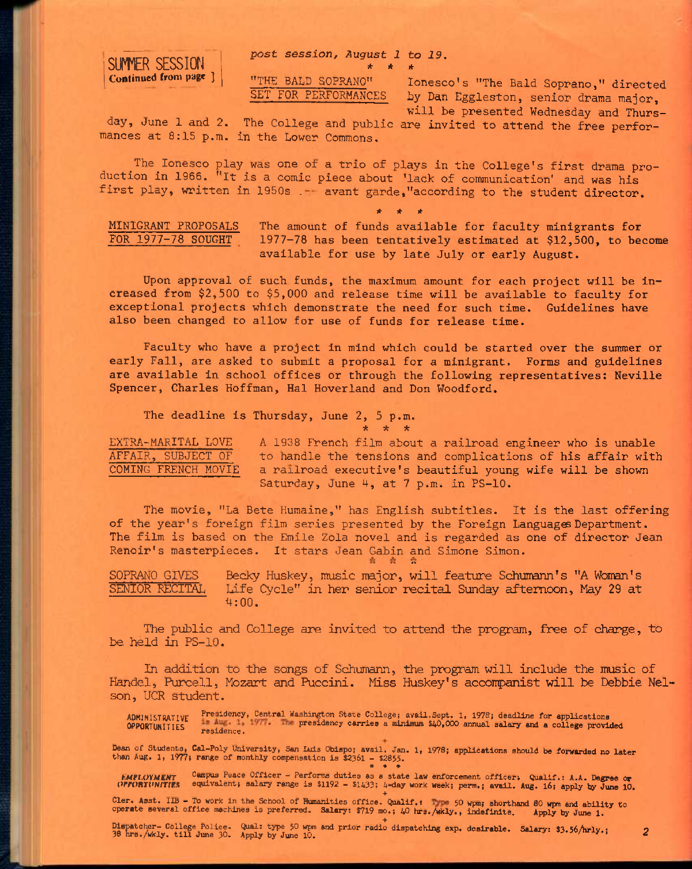*post session, August 1 to 19.* 



"THE BALD SOPRANO" lonesco's "The Bald Soprano," directed<br>SET FOR PERFORMANCES by Dan Eggleston, senior drama major by Dan Eggleston, senior drama major. will be presented Wednesday and Thurs-

day, June 1 and 2. The College and public are invited to attend the free performances at 8:15 p.m. in the Lower Commons.

*k \* \** 

The Ionesco play was one of a trio of plays in the College's first drama production in 1966. "It is a comic piece about 'lack of communication' and was his first play, written in 1950s .- avant garde, "according to the student director.

**\* \* \*** 

**MINIGRANT PROPOSALS The amount of funds available for faculty minigrants for FOR 1977-78 SOUGHT 1977-78 has been tentatively estimated at \$12,500, to become available for use by late July or early August.** 

**Upon approval of such funds, the maximum amount for each project will be increased from \$2,500 to \$5,000 and release time will be available to faculty for exceptional projects which demonstrate the need for such time. Guidelines have also been changed to allow for use of funds for release time.** 

**Faculty who have a project in mind which could be started over the summer or early Fall, are asked to submit a proposal for a minigrant. Forms and guidelines are available in school offices or through the following representatives: Neville Spencer, Charles Hoffman, Hal Hoverland and Don Woodford.** 

**The deadline is Thursday, June 2, 5 p.m.** 

*•k -k -k* 

EXTRA-MARITAL LOVE A 1938 French film about a railroad engineer who is unable<br>AFFAIR, SUBJECT OF to handle the tensions and complications of his affair with to handle the tensions and complications of his affair with COMING FRENCH MOVIE a railroad executive's beautiful young wife will be shown Saturday, June 4, at 7 p.m. in PS-10.

The movie, "La Bete Humaine," has English subtitles. It is the last offering of the year's foreign film series presented by the Foreign Languages Department. The film is based on the Emile Zola novel and is regarded as one of director Jean Renoir's masterpieces. It stars Jean Cabin and Simone Simon. o

**SOPRAMO GIVES Becky Huskey, music major, will feature Schumann's "A Woman's SENIOR RECITAL Life Cycle" in her senior recital Sunday afternoon. May 29 at 4:00.** 

**The public and College are invited to attend the program, free of charge, to be held in PS-10.** 

**In addition to the songs of Schumann, the program will include the music of Handel, Purcell, Mozart and Puccini. Miss Huskey's acconpanist will be Debbie Nelson, UCR student.** 

ADMINISTRATIVE Presidency, Central Washington State College; avail.Sept. 1, 1978; deadline for applications OPPORTUNITIES presidency carries a minijnum \$40,000 annual salary and a college provided residence.

Dean of Students, Cal-Poly University, San Luis Obispo; avail. Jan. 1, 1978; applications should be forwarded no later<br>than Aug. 1, 1977; range of monthly compensation is \$2361 - \$2855.<br>\* \* \* \*

EMPLOYMENT Campus Peace Officer - Performs duties as a state law enforcement officer, Qualif.: A.A. Degree or<br>OPFORTUNITIES equivalent; salary range is \$1192 - \$1433; 4-day work week; perm.; avail. Aug. 16; apply by June 1

Cler. Asst. IIB - To work in the School of Humanities office. Qualif.: The 50 wpm; shorthand 80 wpm and ability to operate several office machines is preferred. Salary: \$719 mo.; 40 hrs./wkly., indefinite. Apply by June 1.

Dispatcher- College Police. Qual: type 50 wpm and prior radio dispatching exp. desirable. Salary: \$3.56/hrly.; 2<br>36 hrs./wkly. till June 30. Apply by June 10.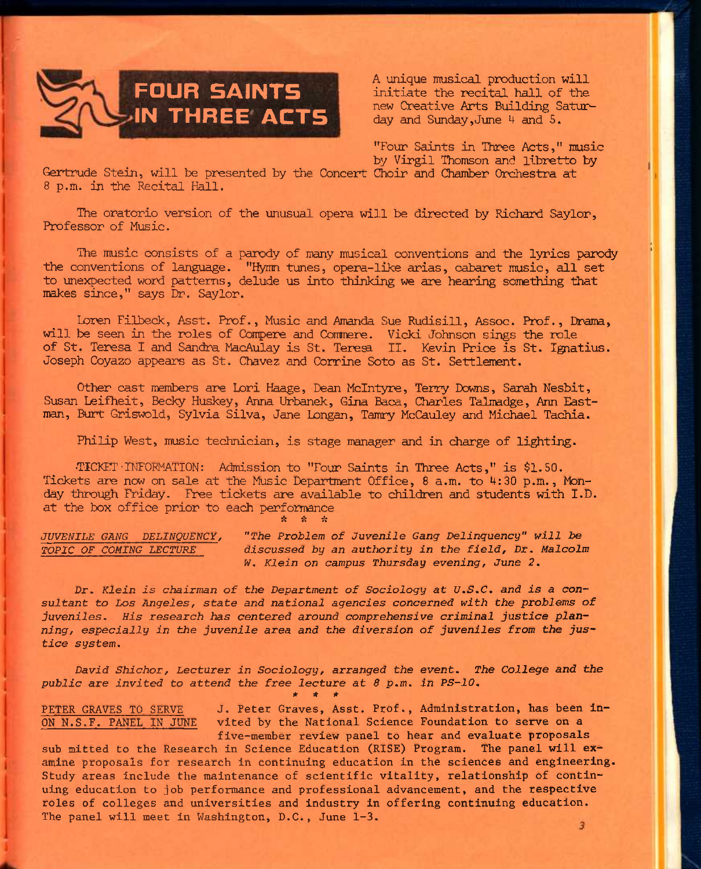

**A unique musical production will initiate the recital hall of the new Creative Arts Building Saturday and Sunday,June U and 5.** 

**"Four Saints in Three Acts," music by Virgil Thomson and libretto by** 

**Gertrude Stein, will be presented by the Concert Choir and Chamber Orchestra at 8 p.m. in the Recital Hall.** 

**The oratorio version of the unusual opera will be directed by Richard Saylor, Professor of Music.** 

**The music consists of a parody of many musical conventions and the lyrics parody the conventions of language. "Hymn tunes, opera-like arias, cabaret music, all set to unexpected word patterns, delude us into thinking we are hearing something that nfikes since," says Dr. Saylor.** 

**Loren Filbeck, Asst. Prof., Music and Amanda Sue Rudisill, Assoc. Prof., Dram,**  will be seen in the roles of Compere and Commere. Vicki Johnson sings the role **of St, Teresa I and Sandra MacAulay is St. Tere^ II. Kevin Price is St. Ignatius. Joseph Coyazo appears as St. Chavez and Corrine Soto as St. Settlement.** 

**Other cast members are Lori Haage, Dean Mclntyre, Terry Downs, Sarah Nesbit, Susan Leifheit, Becky Huskey, Anna Urbanek, Gina Baca, Charles Talmadge, Ann Eastman, Burt Griswold, Sylvia Silva, Jane Longan, Tamry McCauley and Michael Tachia.** 

**Philip West, music technician, is stage manager and in charge of lighting.** 

**•TICKET • IHFORMATION: Admission to "Four Saints in Three Acts," is \$1.50.**  Tickets are now on sale at the Music Department Office, 8 a.m. to 4:30 p.m., Mon**day through Friday. Free tickets are available to children and students with I.D. at the box office prior to each performance** 

\* \* \*

*JUVENILE GANG DELINQUENCY, "The Problem of Juvenile Gang Delinquency" will be TOPIC OF COMING LECTURE discussed by an authority in the field, Dr, Malcolm W, Klein on campus Thursday evening, June* **2.** 

*Dr. Klein is chairman of the Department of Sociology at U.S.C. and is a* **consultant** *to Los Angeles, state and national agencies concerned with the problems of juveniles. His research has centered around comprehensive criminal justice planning, especially in the juvenile area and the diversion of juveniles from the justice system.* 

*David Shichor, Lecturer in Sociology, arranged the event. The College and the public are invited to attend the free lecture at 8 p.m. in PS-10. \* \* \** 

PETER GRAVES TO SERVE J. Peter Graves, Asst. Prof., Administration, has been in-**ON N.S.F. PANEL IN JUNE vited by the National Science Foundation to serve on a five-member review panel to hear and evaluate proposals** 

**sub mitted to the Research in Science Education (RISE) Program. The panel will examine proposals for research in continuing education in the sciences and engineering. Study areas include the maintenance of scientific vitality, relationship of continuing education to job performance and professional advancement, and the respective roles of colleges and universities and industry in offering continuing education. The panel will meet in Washington, D.C., June 1-3.** 

3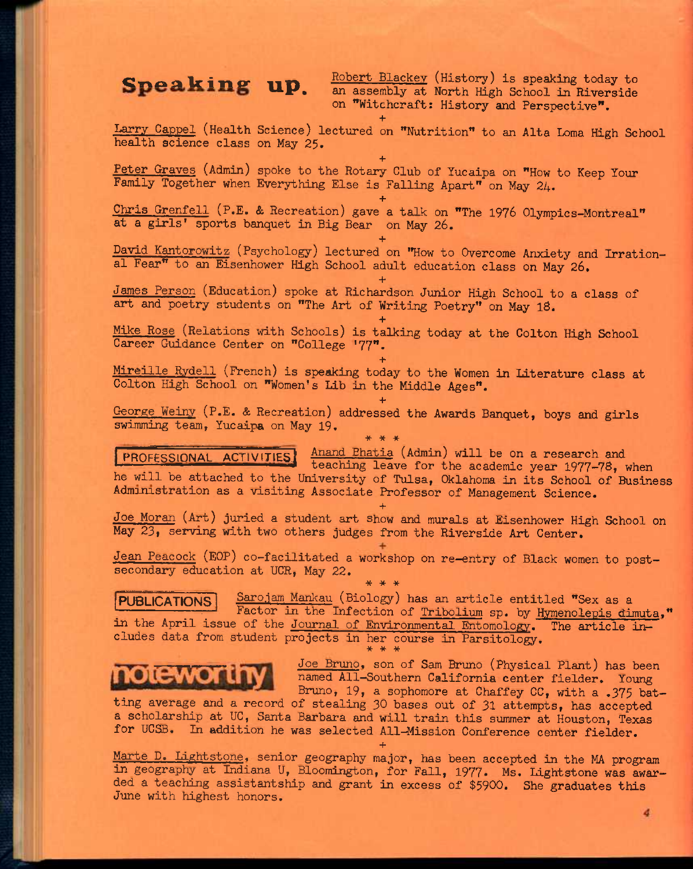**Speaking up.** Robert Blackey (History) is speaking today to an assembly at North High School in Biverside an assembly at North High School in Riverside on **"Witchcraft: History and Perspective". +** 

**Larry Cappel (Health Science) lectured on "Nutrition" to an Alta Loma High School health science class on May 25.** 

**+** 

**+** 

**Peter Graves (Admin) spoke to the Rotary Club of Yucaipa on "How to Keep Your**  Family Together when Everything Else is Falling Apart" on May 24.

**Chris Grenfell (P.E, & Recreation) gave a talk on "The 1976 Olympics-Montreal" at a girls' sports banquet in Big Bear on May 26.** 

**+ David Kantorowitz (Psychology) lectured on "How to Overcome Anxiety and Irrational Fear" to an Eisenhower High School adult education class on May 26.** 

**+** 

**+** 

**James Person (Education) spoke at Richardson Junior High School to a class of art and poetry students on "The Art of Writing Poetry" on May 18.** 

**Mike Rose (Relations with Schools) is talking today at the Colton High School Career Guidance Center on "College '77".** 

**+ Mireille Rydell (French) is speaking today to the Women in Literature class at Colton High School on "Women's lib in the Middle Ages".** 

**+** 

**George Weiny (P.E. & Recreation) addressed the Awards Banquet, boys and girls swimming team, Yucaipa on May 19.**  \* \* \*

**"PROFESSIONAL ACTIVITIES** Anand Ehatia (Admin) will be on a research and teaching leave for the academic year 1977-78, when **he will be attached to the University of Tulsa, Oklahoma in its School of Business Administration as a visiting Associate Professor of Management Science.** 

**Joe Moran (Art) juried a student art show and murals at Eisenhower High School on May 23, serving with two others judges from the Riverside Art Center.** 

**+** 

**Jean Peacock (EOP) co-facilitated a workshop on re-entry of Black women to postsecondary education at UCR, May 22.**  \* \* \*

**PUBLICATIONS <u>Sarojam Mankau</u> (Biology) has an article entitled "Sex as a** Factor in the Infection of Tribolium sp. by Hymenolepis dimuta," in the April issue of the Journal of Environmental Entomology. The article in**cludes data from student projects in her course in Parsitology.**  \* \* \*



**Joe Bruno, son of Sam Bruno (Physical Plant) has been named All-Southern California center fielder. Young Bruno, 19, a sophomore at Chaffey CC, with a .375 bat-**

**ting average and a record of stealing 30 bases out of 31 attempts, has accepted a scholarship at UC, Santa Barbara and will train this summer at Houston, Texas**  for UCSB. In addition he was selected All-Mission Conference center fielder.

**+** 

**Marte D. Lightstone. senior geography major, has been accepted in the MA program**  in geography at Indiana U, Bloomington, for Fall, 1977. Ms. Idghtstone was awar**ded a teaching assistantship and grant in excess of \$5900. She graduates this June with highest honors.**